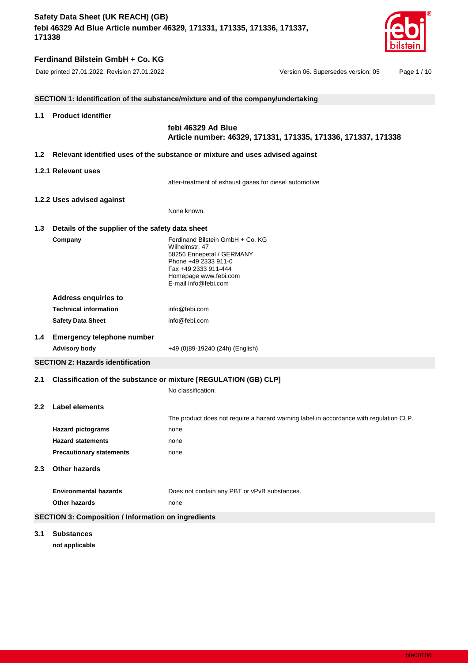

# **Ferdinand Bilstein GmbH + Co. KG**

|                  |                                                            | SECTION 1: Identification of the substance/mixture and of the company/undertaking                                                                                                |
|------------------|------------------------------------------------------------|----------------------------------------------------------------------------------------------------------------------------------------------------------------------------------|
| 1.1              | <b>Product identifier</b>                                  |                                                                                                                                                                                  |
|                  |                                                            | febi 46329 Ad Blue<br>Article number: 46329, 171331, 171335, 171336, 171337, 171338                                                                                              |
| 1.2 <sub>2</sub> |                                                            | Relevant identified uses of the substance or mixture and uses advised against                                                                                                    |
|                  | 1.2.1 Relevant uses                                        |                                                                                                                                                                                  |
|                  |                                                            | after-treatment of exhaust gases for diesel automotive                                                                                                                           |
|                  | 1.2.2 Uses advised against                                 |                                                                                                                                                                                  |
|                  |                                                            | None known.                                                                                                                                                                      |
| 1.3              | Details of the supplier of the safety data sheet           |                                                                                                                                                                                  |
|                  | Company                                                    | Ferdinand Bilstein GmbH + Co. KG<br>Wilhelmstr, 47<br>58256 Ennepetal / GERMANY<br>Phone +49 2333 911-0<br>Fax +49 2333 911-444<br>Homepage www.febi.com<br>F-mail info@febi.com |
|                  | <b>Address enquiries to</b>                                |                                                                                                                                                                                  |
|                  | <b>Technical information</b>                               | info@febi.com                                                                                                                                                                    |
|                  | <b>Safety Data Sheet</b>                                   | info@febi.com                                                                                                                                                                    |
| $1.4^{\circ}$    | <b>Emergency telephone number</b>                          |                                                                                                                                                                                  |
|                  | <b>Advisory body</b>                                       | +49 (0)89-19240 (24h) (English)                                                                                                                                                  |
|                  | <b>SECTION 2: Hazards identification</b>                   |                                                                                                                                                                                  |
| 2.1              |                                                            | Classification of the substance or mixture [REGULATION (GB) CLP]                                                                                                                 |
|                  |                                                            | No classification.                                                                                                                                                               |
| 2.2              | Label elements                                             | The product does not require a hazard warning label in accordance with regulation CLP.                                                                                           |
|                  | <b>Hazard pictograms</b>                                   | none                                                                                                                                                                             |
|                  | <b>Hazard statements</b>                                   | none                                                                                                                                                                             |
|                  | <b>Precautionary statements</b>                            | none                                                                                                                                                                             |
| 2.3              | <b>Other hazards</b>                                       |                                                                                                                                                                                  |
|                  | <b>Environmental hazards</b>                               | Does not contain any PBT or vPvB substances.                                                                                                                                     |
|                  | Other hazards                                              | none                                                                                                                                                                             |
|                  | <b>SECTION 3: Composition / Information on ingredients</b> |                                                                                                                                                                                  |
| 3.1              | <b>Substances</b>                                          |                                                                                                                                                                                  |

**not applicable**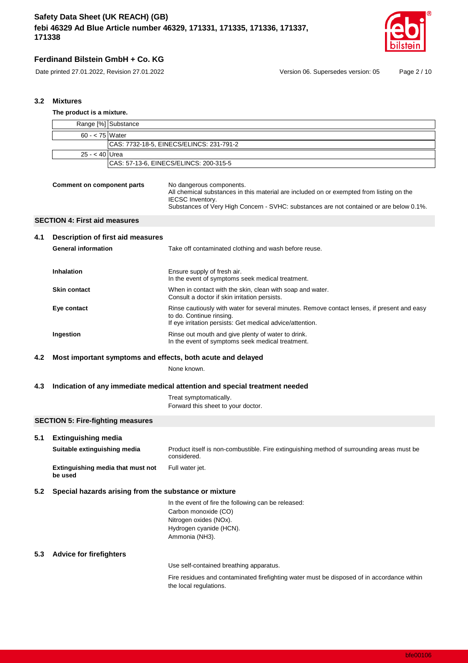



Date printed 27.01.2022, Revision 27.01.2022 Version 06. Supersedes version: 05 Page 2 / 10

## **3.2 Mixtures**

|     | The product is a mixture.                    |                                   |                                                                                                                                                                                                                                            |  |
|-----|----------------------------------------------|-----------------------------------|--------------------------------------------------------------------------------------------------------------------------------------------------------------------------------------------------------------------------------------------|--|
|     | Range [%] Substance                          |                                   |                                                                                                                                                                                                                                            |  |
|     | $60 - < 75$ Water                            |                                   |                                                                                                                                                                                                                                            |  |
|     |                                              |                                   | CAS: 7732-18-5, EINECS/ELINCS: 231-791-2                                                                                                                                                                                                   |  |
|     | $25 - 40$                                    | Urea                              |                                                                                                                                                                                                                                            |  |
|     |                                              |                                   | CAS: 57-13-6, EINECS/ELINCS: 200-315-5                                                                                                                                                                                                     |  |
|     | <b>Comment on component parts</b>            |                                   | No dangerous components.<br>All chemical substances in this material are included on or exempted from listing on the<br><b>IECSC</b> Inventory.<br>Substances of Very High Concern - SVHC: substances are not contained or are below 0.1%. |  |
|     | <b>SECTION 4: First aid measures</b>         |                                   |                                                                                                                                                                                                                                            |  |
| 4.1 |                                              | Description of first aid measures |                                                                                                                                                                                                                                            |  |
|     | <b>General information</b>                   |                                   | Take off contaminated clothing and wash before reuse.                                                                                                                                                                                      |  |
|     | Inhalation                                   |                                   | Ensure supply of fresh air.<br>In the event of symptoms seek medical treatment.                                                                                                                                                            |  |
|     | <b>Skin contact</b>                          |                                   | When in contact with the skin, clean with soap and water.<br>Consult a doctor if skin irritation persists.                                                                                                                                 |  |
|     | Eye contact                                  |                                   | Rinse cautiously with water for several minutes. Remove contact lenses, if present and easy<br>to do. Continue rinsing.<br>If eye irritation persists: Get medical advice/attention.                                                       |  |
|     | Ingestion                                    |                                   | Rinse out mouth and give plenty of water to drink.<br>In the event of symptoms seek medical treatment.                                                                                                                                     |  |
| 4.2 |                                              |                                   | Most important symptoms and effects, both acute and delayed                                                                                                                                                                                |  |
|     |                                              |                                   | None known.                                                                                                                                                                                                                                |  |
| 4.3 |                                              |                                   | Indication of any immediate medical attention and special treatment needed                                                                                                                                                                 |  |
|     |                                              |                                   | Treat symptomatically.<br>Forward this sheet to your doctor.                                                                                                                                                                               |  |
|     | <b>SECTION 5: Fire-fighting measures</b>     |                                   |                                                                                                                                                                                                                                            |  |
| 5.1 | <b>Extinguishing media</b>                   |                                   |                                                                                                                                                                                                                                            |  |
|     | Suitable extinguishing media                 |                                   | Product itself is non-combustible. Fire extinguishing method of surrounding areas must be<br>considered.                                                                                                                                   |  |
|     | Extinguishing media that must not<br>be used |                                   | Full water jet.                                                                                                                                                                                                                            |  |
| 5.2 |                                              |                                   | Special hazards arising from the substance or mixture                                                                                                                                                                                      |  |
|     |                                              |                                   | In the event of fire the following can be released:<br>Carbon monoxide (CO)<br>Nitrogen oxides (NOx).<br>Hydrogen cyanide (HCN).<br>Ammonia (NH3).                                                                                         |  |
| 5.3 | <b>Advice for firefighters</b>               |                                   |                                                                                                                                                                                                                                            |  |
|     |                                              |                                   | Use self-contained breathing apparatus.                                                                                                                                                                                                    |  |
|     |                                              |                                   | Fire residues and contaminated firefighting water must be disposed of in accordance within<br>the local regulations.                                                                                                                       |  |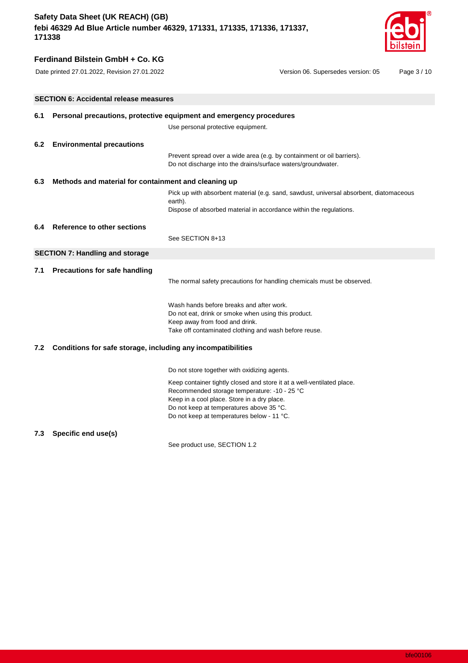

# **Ferdinand Bilstein GmbH + Co. KG**

Date printed 27.01.2022, Revision 27.01.2022 Version 06. Supersedes version: 05 Page 3 / 10

|     | <b>SECTION 6: Accidental release measures</b>                       |                                                                                                                                                                         |  |  |  |
|-----|---------------------------------------------------------------------|-------------------------------------------------------------------------------------------------------------------------------------------------------------------------|--|--|--|
| 6.1 | Personal precautions, protective equipment and emergency procedures |                                                                                                                                                                         |  |  |  |
|     |                                                                     | Use personal protective equipment.                                                                                                                                      |  |  |  |
| 6.2 | <b>Environmental precautions</b>                                    |                                                                                                                                                                         |  |  |  |
|     |                                                                     | Prevent spread over a wide area (e.g. by containment or oil barriers).<br>Do not discharge into the drains/surface waters/groundwater.                                  |  |  |  |
| 6.3 | Methods and material for containment and cleaning up                |                                                                                                                                                                         |  |  |  |
|     |                                                                     | Pick up with absorbent material (e.g. sand, sawdust, universal absorbent, diatomaceous<br>earth).<br>Dispose of absorbed material in accordance within the regulations. |  |  |  |
| 6.4 | <b>Reference to other sections</b>                                  |                                                                                                                                                                         |  |  |  |
|     |                                                                     | See SECTION 8+13                                                                                                                                                        |  |  |  |
|     | <b>SECTION 7: Handling and storage</b>                              |                                                                                                                                                                         |  |  |  |
| 7.1 | <b>Precautions for safe handling</b>                                |                                                                                                                                                                         |  |  |  |
|     |                                                                     | The normal safety precautions for handling chemicals must be observed.                                                                                                  |  |  |  |
|     |                                                                     | Wash hands before breaks and after work.                                                                                                                                |  |  |  |
|     |                                                                     | Do not eat, drink or smoke when using this product.                                                                                                                     |  |  |  |
|     |                                                                     | Keep away from food and drink.                                                                                                                                          |  |  |  |
|     |                                                                     | Take off contaminated clothing and wash before reuse.                                                                                                                   |  |  |  |
| 7.2 | Conditions for safe storage, including any incompatibilities        |                                                                                                                                                                         |  |  |  |
|     |                                                                     | Do not store together with oxidizing agents.                                                                                                                            |  |  |  |
|     |                                                                     | Keep container tightly closed and store it at a well-ventilated place.                                                                                                  |  |  |  |
|     |                                                                     | Recommended storage temperature: -10 - 25 °C                                                                                                                            |  |  |  |
|     |                                                                     | Keep in a cool place. Store in a dry place.                                                                                                                             |  |  |  |
|     |                                                                     | Do not keep at temperatures above 35 °C.<br>Do not keep at temperatures below - 11 °C.                                                                                  |  |  |  |
|     |                                                                     |                                                                                                                                                                         |  |  |  |

## **7.3 Specific end use(s)**

See product use, SECTION 1.2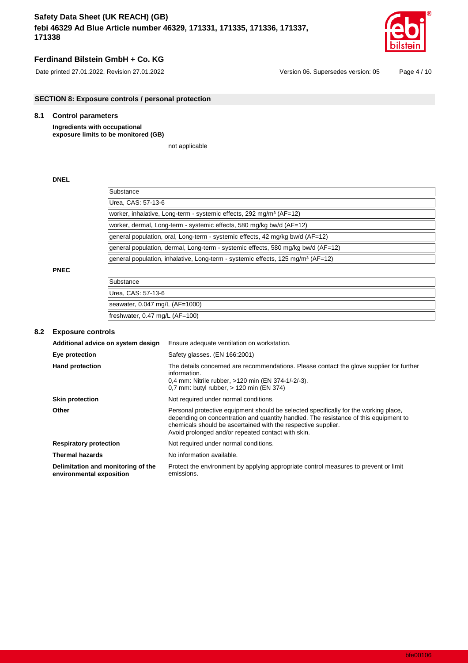

# **Ferdinand Bilstein GmbH + Co. KG**

**SECTION 8: Exposure controls / personal protection**

# **8.1 Control parameters**

**Ingredients with occupational exposure limits to be monitored (GB)**

not applicable

## **DNEL**

| Substance                                                                                   |  |
|---------------------------------------------------------------------------------------------|--|
| Urea, CAS: 57-13-6                                                                          |  |
| worker, inhalative, Long-term - systemic effects, 292 mg/m <sup>3</sup> (AF=12)             |  |
| worker, dermal, Long-term - systemic effects, 580 mg/kg bw/d (AF=12)                        |  |
| general population, oral, Long-term - systemic effects, 42 mg/kg bw/d (AF=12)               |  |
| general population, dermal, Long-term - systemic effects, 580 mg/kg bw/d (AF=12)            |  |
| general population, inhalative, Long-term - systemic effects, 125 mg/m <sup>3</sup> (AF=12) |  |

### **PNEC**

| Substance                                |
|------------------------------------------|
| Urea, CAS: 57-13-6                       |
| seawater, $0.047$ mg/L (AF=1000)         |
| freshwater, $0.47 \text{ mg/L}$ (AF=100) |

## **8.2 Exposure controls**

| Additional advice on system design                             | Ensure adequate ventilation on workstation.                                                                                                                                                                                                                                                         |
|----------------------------------------------------------------|-----------------------------------------------------------------------------------------------------------------------------------------------------------------------------------------------------------------------------------------------------------------------------------------------------|
| Eye protection                                                 | Safety glasses. (EN 166:2001)                                                                                                                                                                                                                                                                       |
| <b>Hand protection</b>                                         | The details concerned are recommendations. Please contact the glove supplier for further<br>information.<br>0.4 mm: Nitrile rubber, >120 min (EN 374-1/-2/-3).<br>0.7 mm: butyl rubber, $> 120$ min (EN 374)                                                                                        |
| <b>Skin protection</b>                                         | Not required under normal conditions.                                                                                                                                                                                                                                                               |
| Other                                                          | Personal protective equipment should be selected specifically for the working place,<br>depending on concentration and quantity handled. The resistance of this equipment to<br>chemicals should be ascertained with the respective supplier.<br>Avoid prolonged and/or repeated contact with skin. |
| <b>Respiratory protection</b>                                  | Not required under normal conditions.                                                                                                                                                                                                                                                               |
| <b>Thermal hazards</b>                                         | No information available.                                                                                                                                                                                                                                                                           |
| Delimitation and monitoring of the<br>environmental exposition | Protect the environment by applying appropriate control measures to prevent or limit<br>emissions.                                                                                                                                                                                                  |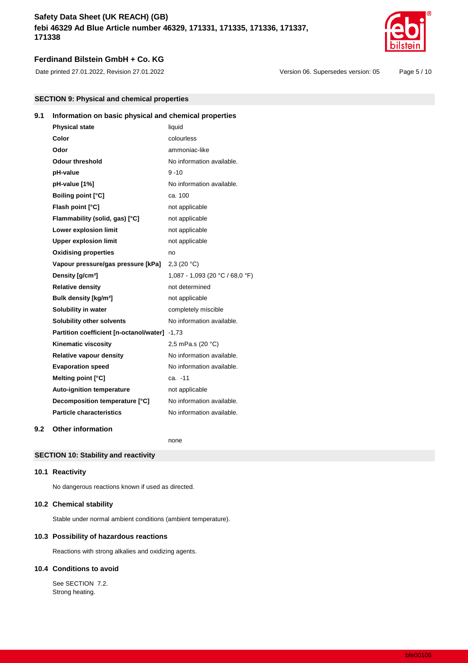

## **Ferdinand Bilstein GmbH + Co. KG**

Date printed 27.01.2022, Revision 27.01.2022 Version 06. Supersedes version: 05 Page 5 / 10

| <b>SECTION 9: Physical and chemical properties</b> |  |  |
|----------------------------------------------------|--|--|
|----------------------------------------------------|--|--|

# **9.1 Information on basic physical and chemical properties**

| <b>Physical state</b>                         | liquid                          |
|-----------------------------------------------|---------------------------------|
| Color                                         | colourless                      |
| Odor                                          | ammoniac-like                   |
| <b>Odour threshold</b>                        | No information available.       |
| pH-value                                      | $9 - 10$                        |
| pH-value [1%]                                 | No information available.       |
| <b>Boiling point [°C]</b>                     | ca. 100                         |
| Flash point [°C]                              | not applicable                  |
| Flammability (solid, gas) [°C]                | not applicable                  |
| Lower explosion limit                         | not applicable                  |
| <b>Upper explosion limit</b>                  | not applicable                  |
| <b>Oxidising properties</b>                   | no                              |
| Vapour pressure/gas pressure [kPa]            | 2,3(20 °C)                      |
| Density [g/cm <sup>3</sup> ]                  | 1,087 - 1,093 (20 °C / 68,0 °F) |
| <b>Relative density</b>                       | not determined                  |
| Bulk density [kg/m <sup>3</sup> ]             | not applicable                  |
| Solubility in water                           | completely miscible             |
| <b>Solubility other solvents</b>              | No information available.       |
| Partition coefficient [n-octanol/water] -1,73 |                                 |
| Kinematic viscosity                           | 2,5 mPa.s (20 °C)               |
| <b>Relative vapour density</b>                | No information available.       |
| <b>Evaporation speed</b>                      | No information available.       |
| Melting point [°C]                            | ca. -11                         |
| <b>Auto-ignition temperature</b>              | not applicable                  |
| Decomposition temperature [°C]                | No information available.       |
| <b>Particle characteristics</b>               | No information available.       |
|                                               |                                 |

### **9.2 Other information**

none

## **SECTION 10: Stability and reactivity**

#### **10.1 Reactivity**

No dangerous reactions known if used as directed.

## **10.2 Chemical stability**

Stable under normal ambient conditions (ambient temperature).

### **10.3 Possibility of hazardous reactions**

Reactions with strong alkalies and oxidizing agents.

### **10.4 Conditions to avoid**

See SECTION 7.2. Strong heating.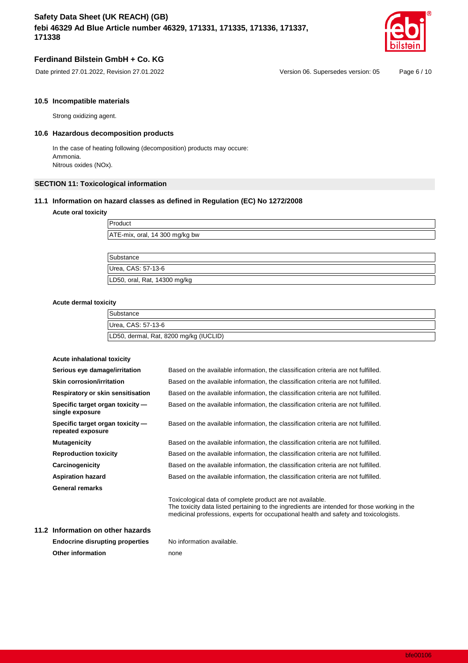

## **Ferdinand Bilstein GmbH + Co. KG**

### **10.5 Incompatible materials**

Strong oxidizing agent.

## **10.6 Hazardous decomposition products**

In the case of heating following (decomposition) products may occure: Ammonia. Nitrous oxides (NOx).

## **SECTION 11: Toxicological information**

### **11.1 Information on hazard classes as defined in Regulation (EC) No 1272/2008**

### **Acute oral toxicity**

| ATE-mix, oral, 14 300 mg/kg bw |  |  |
|--------------------------------|--|--|
|                                |  |  |

Substance Urea, CAS: 57-13-6 LD50, oral, Rat, 14300 mg/kg

#### **Acute dermal toxicity**

| Substance                              |  |
|----------------------------------------|--|
| Urea, CAS: 57-13-6                     |  |
| LD50, dermal, Rat, 8200 mg/kg (IUCLID) |  |

| Acute inhalational toxicity                           |                                                                                                                                                                                                                                                   |
|-------------------------------------------------------|---------------------------------------------------------------------------------------------------------------------------------------------------------------------------------------------------------------------------------------------------|
| Serious eye damage/irritation                         | Based on the available information, the classification criteria are not fulfilled.                                                                                                                                                                |
| Skin corrosion/irritation                             | Based on the available information, the classification criteria are not fulfilled.                                                                                                                                                                |
| Respiratory or skin sensitisation                     | Based on the available information, the classification criteria are not fulfilled.                                                                                                                                                                |
| Specific target organ toxicity -<br>single exposure   | Based on the available information, the classification criteria are not fulfilled.                                                                                                                                                                |
| Specific target organ toxicity -<br>repeated exposure | Based on the available information, the classification criteria are not fulfilled.                                                                                                                                                                |
| <b>Mutagenicity</b>                                   | Based on the available information, the classification criteria are not fulfilled.                                                                                                                                                                |
| <b>Reproduction toxicity</b>                          | Based on the available information, the classification criteria are not fulfilled.                                                                                                                                                                |
| Carcinogenicity                                       | Based on the available information, the classification criteria are not fulfilled.                                                                                                                                                                |
| <b>Aspiration hazard</b>                              | Based on the available information, the classification criteria are not fulfilled.                                                                                                                                                                |
| <b>General remarks</b>                                |                                                                                                                                                                                                                                                   |
|                                                       | Toxicological data of complete product are not available.<br>The toxicity data listed pertaining to the ingredients are intended for those working in the<br>medicinal professions, experts for occupational health and safety and toxicologists. |
| Information on other hazards                          |                                                                                                                                                                                                                                                   |
| Endessine diesunting preparties                       | No information ovailable                                                                                                                                                                                                                          |

**11.2 Information on other hazards Endocrine disrupting properties** No information available. **Other information** none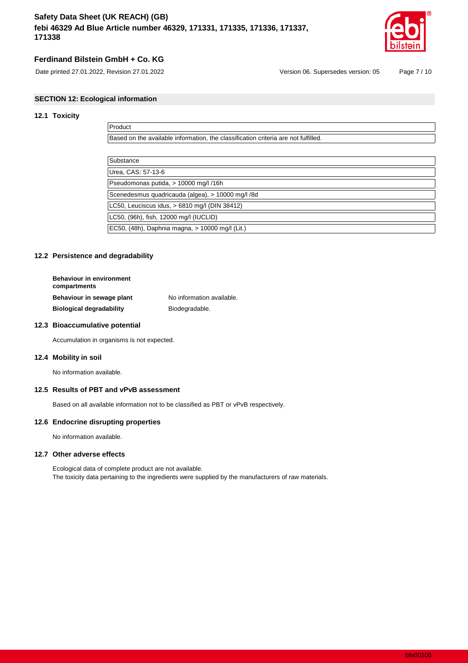

## **Ferdinand Bilstein GmbH + Co. KG**

## **SECTION 12: Ecological information**

## **12.1 Toxicity**

| Product                                                                            |
|------------------------------------------------------------------------------------|
| Based on the available information, the classification criteria are not fulfilled. |
|                                                                                    |
| Substance                                                                          |
| Urea, CAS: 57-13-6                                                                 |
| Pseudomonas putida, > 10000 mg/l /16h                                              |
| Scenedesmus quadricauda (algea), > 10000 mg/l /8d                                  |
| LC50, Leuciscus idus, > 6810 mg/l (DIN 38412)                                      |
| LC50, (96h), fish, 12000 mg/l (IUCLID)                                             |
| EC50, (48h), Daphnia magna, > 10000 mg/l (Lit.)                                    |

### **12.2 Persistence and degradability**

| <b>Behaviour in environment</b><br>compartments |                           |
|-------------------------------------------------|---------------------------|
| Behaviour in sewage plant                       | No information available. |
| <b>Biological degradability</b>                 | Biodegradable.            |

### **12.3 Bioaccumulative potential**

Accumulation in organisms is not expected.

### **12.4 Mobility in soil**

No information available.

### **12.5 Results of PBT and vPvB assessment**

Based on all available information not to be classified as PBT or vPvB respectively.

### **12.6 Endocrine disrupting properties**

No information available.

### **12.7 Other adverse effects**

Ecological data of complete product are not available. The toxicity data pertaining to the ingredients were supplied by the manufacturers of raw materials.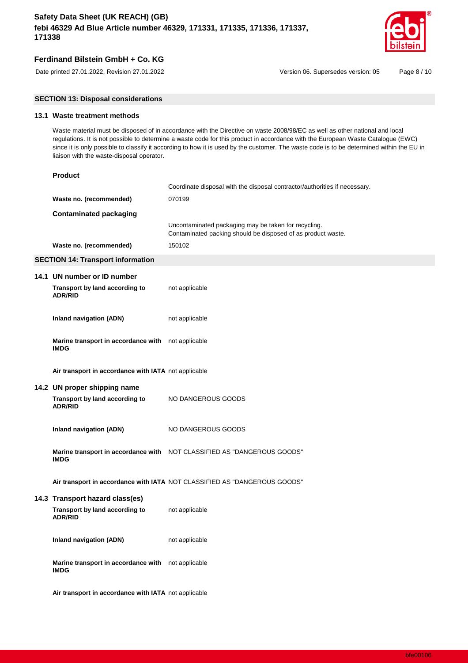

## **Ferdinand Bilstein GmbH + Co. KG**

Date printed 27.01.2022, Revision 27.01.2022 Version 06. Supersedes version: 05 Page 8 / 10

## **SECTION 13: Disposal considerations**

## **13.1 Waste treatment methods**

Waste material must be disposed of in accordance with the Directive on waste 2008/98/EC as well as other national and local regulations. It is not possible to determine a waste code for this product in accordance with the European Waste Catalogue (EWC) since it is only possible to classify it according to how it is used by the customer. The waste code is to be determined within the EU in liaison with the waste-disposal operator.

| <b>Product</b>                                                                   |                                                                                                                      |
|----------------------------------------------------------------------------------|----------------------------------------------------------------------------------------------------------------------|
|                                                                                  | Coordinate disposal with the disposal contractor/authorities if necessary.                                           |
| Waste no. (recommended)                                                          | 070199                                                                                                               |
| <b>Contaminated packaging</b>                                                    |                                                                                                                      |
|                                                                                  | Uncontaminated packaging may be taken for recycling.<br>Contaminated packing should be disposed of as product waste. |
| Waste no. (recommended)                                                          | 150102                                                                                                               |
| <b>SECTION 14: Transport information</b>                                         |                                                                                                                      |
| 14.1 UN number or ID number                                                      |                                                                                                                      |
| Transport by land according to<br><b>ADR/RID</b>                                 | not applicable                                                                                                       |
| <b>Inland navigation (ADN)</b>                                                   | not applicable                                                                                                       |
| Marine transport in accordance with not applicable<br><b>IMDG</b>                |                                                                                                                      |
| Air transport in accordance with IATA not applicable                             |                                                                                                                      |
| 14.2 UN proper shipping name<br>Transport by land according to<br><b>ADR/RID</b> | NO DANGEROUS GOODS                                                                                                   |
| Inland navigation (ADN)                                                          | NO DANGEROUS GOODS                                                                                                   |
| <b>IMDG</b>                                                                      | Marine transport in accordance with  NOT CLASSIFIED AS "DANGEROUS GOODS"                                             |
|                                                                                  | Air transport in accordance with IATA NOT CLASSIFIED AS "DANGEROUS GOODS"                                            |
| 14.3 Transport hazard class(es)                                                  |                                                                                                                      |
| Transport by land according to<br><b>ADR/RID</b>                                 | not applicable                                                                                                       |
| Inland navigation (ADN)                                                          | not applicable                                                                                                       |
| Marine transport in accordance with not applicable<br><b>IMDG</b>                |                                                                                                                      |
|                                                                                  |                                                                                                                      |

**Air transport in accordance with IATA** not applicable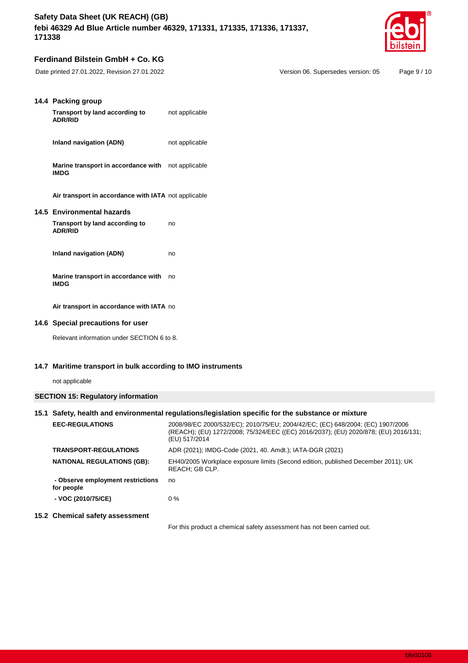

## **Ferdinand Bilstein GmbH + Co. KG**

| 14.4 Packing group<br>Transport by land according to<br><b>ADR/RID</b>         | not applicable |
|--------------------------------------------------------------------------------|----------------|
| Inland navigation (ADN)                                                        | not applicable |
| Marine transport in accordance with<br><b>IMDG</b>                             | not applicable |
| Air transport in accordance with IATA not applicable                           |                |
| 14.5 Environmental hazards<br>Transport by land according to<br><b>ADR/RID</b> | no             |
| Inland navigation (ADN)                                                        | no             |
| Marine transport in accordance with<br><b>IMDG</b>                             | no             |
| Air transport in accordance with IATA no                                       |                |

## **14.6 Special precautions for user**

Relevant information under SECTION 6 to 8.

### **14.7 Maritime transport in bulk according to IMO instruments**

not applicable

## **SECTION 15: Regulatory information**

|                                                 | 15.1 Safety, health and environmental regulations/legislation specific for the substance or mixture                                                                                    |  |  |
|-------------------------------------------------|----------------------------------------------------------------------------------------------------------------------------------------------------------------------------------------|--|--|
| <b>EEC-REGULATIONS</b>                          | 2008/98/EC 2000/532/EC); 2010/75/EU; 2004/42/EC; (EC) 648/2004; (EC) 1907/2006<br>(REACH); (EU) 1272/2008; 75/324/EEC ((EC) 2016/2037); (EU) 2020/878; (EU) 2016/131;<br>(EU) 517/2014 |  |  |
| <b>TRANSPORT-REGULATIONS</b>                    | ADR (2021); IMDG-Code (2021, 40. Amdt.); IATA-DGR (2021)                                                                                                                               |  |  |
| <b>NATIONAL REGULATIONS (GB):</b>               | EH40/2005 Workplace exposure limits (Second edition, published December 2011); UK<br>REACH: GB CLP.                                                                                    |  |  |
| - Observe employment restrictions<br>for people | no                                                                                                                                                                                     |  |  |
| - VOC (2010/75/CE)                              | $0\%$                                                                                                                                                                                  |  |  |
| 15.2 Chemical safety assessment                 |                                                                                                                                                                                        |  |  |

For this product a chemical safety assessment has not been carried out.